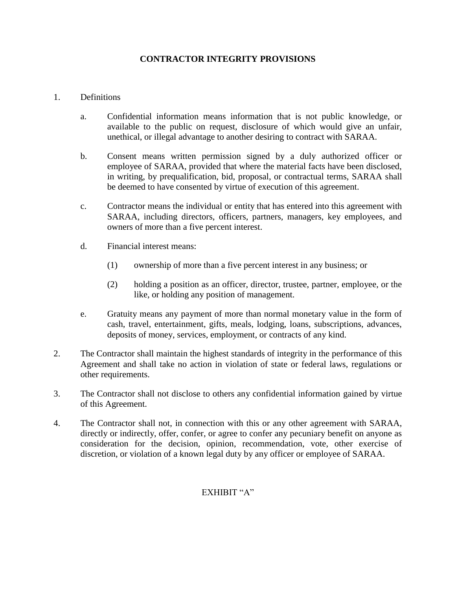## **CONTRACTOR INTEGRITY PROVISIONS**

## 1. Definitions

- a. Confidential information means information that is not public knowledge, or available to the public on request, disclosure of which would give an unfair, unethical, or illegal advantage to another desiring to contract with SARAA.
- b. Consent means written permission signed by a duly authorized officer or employee of SARAA, provided that where the material facts have been disclosed, in writing, by prequalification, bid, proposal, or contractual terms, SARAA shall be deemed to have consented by virtue of execution of this agreement.
- c. Contractor means the individual or entity that has entered into this agreement with SARAA, including directors, officers, partners, managers, key employees, and owners of more than a five percent interest.
- d. Financial interest means:
	- (1) ownership of more than a five percent interest in any business; or
	- (2) holding a position as an officer, director, trustee, partner, employee, or the like, or holding any position of management.
- e. Gratuity means any payment of more than normal monetary value in the form of cash, travel, entertainment, gifts, meals, lodging, loans, subscriptions, advances, deposits of money, services, employment, or contracts of any kind.
- 2. The Contractor shall maintain the highest standards of integrity in the performance of this Agreement and shall take no action in violation of state or federal laws, regulations or other requirements.
- 3. The Contractor shall not disclose to others any confidential information gained by virtue of this Agreement.
- 4. The Contractor shall not, in connection with this or any other agreement with SARAA, directly or indirectly, offer, confer, or agree to confer any pecuniary benefit on anyone as consideration for the decision, opinion, recommendation, vote, other exercise of discretion, or violation of a known legal duty by any officer or employee of SARAA.

## EXHIBIT "A"